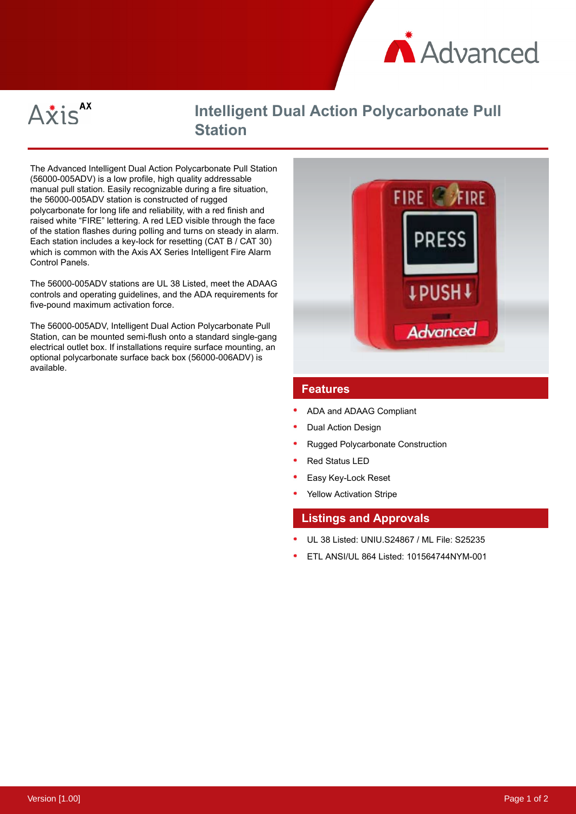



# **Intelligent Dual Action Polycarbonate Pull Station**

The Advanced Intelligent Dual Action Polycarbonate Pull Station (56000-005ADV) is a low profile, high quality addressable manual pull station. Easily recognizable during a fire situation, the 56000-005ADV station is constructed of rugged polycarbonate for long life and reliability, with a red finish and raised white "FIRE" lettering. A red LED visible through the face of the station flashes during polling and turns on steady in alarm. Each station includes a key-lock for resetting (CAT B / CAT 30) which is common with the Axis AX Series Intelligent Fire Alarm Control Panels.

The 56000-005ADV stations are UL 38 Listed, meet the ADAAG controls and operating guidelines, and the ADA requirements for five-pound maximum activation force.

The 56000-005ADV, Intelligent Dual Action Polycarbonate Pull Station, can be mounted semi-flush onto a standard single-gang electrical outlet box. If installations require surface mounting, an optional polycarbonate surface back box (56000-006ADV) is available.



## **Features**

- ADA and ADAAG Compliant
- Dual Action Design
- Rugged Polycarbonate Construction
- Red Status LED
- Easy Key-Lock Reset
- Yellow Activation Stripe

#### **Listings and Approvals**

- UL 38 Listed: UNIU.S24867 / ML File: S25235
- ETL ANSI/UL 864 Listed: 101564744NYM-001